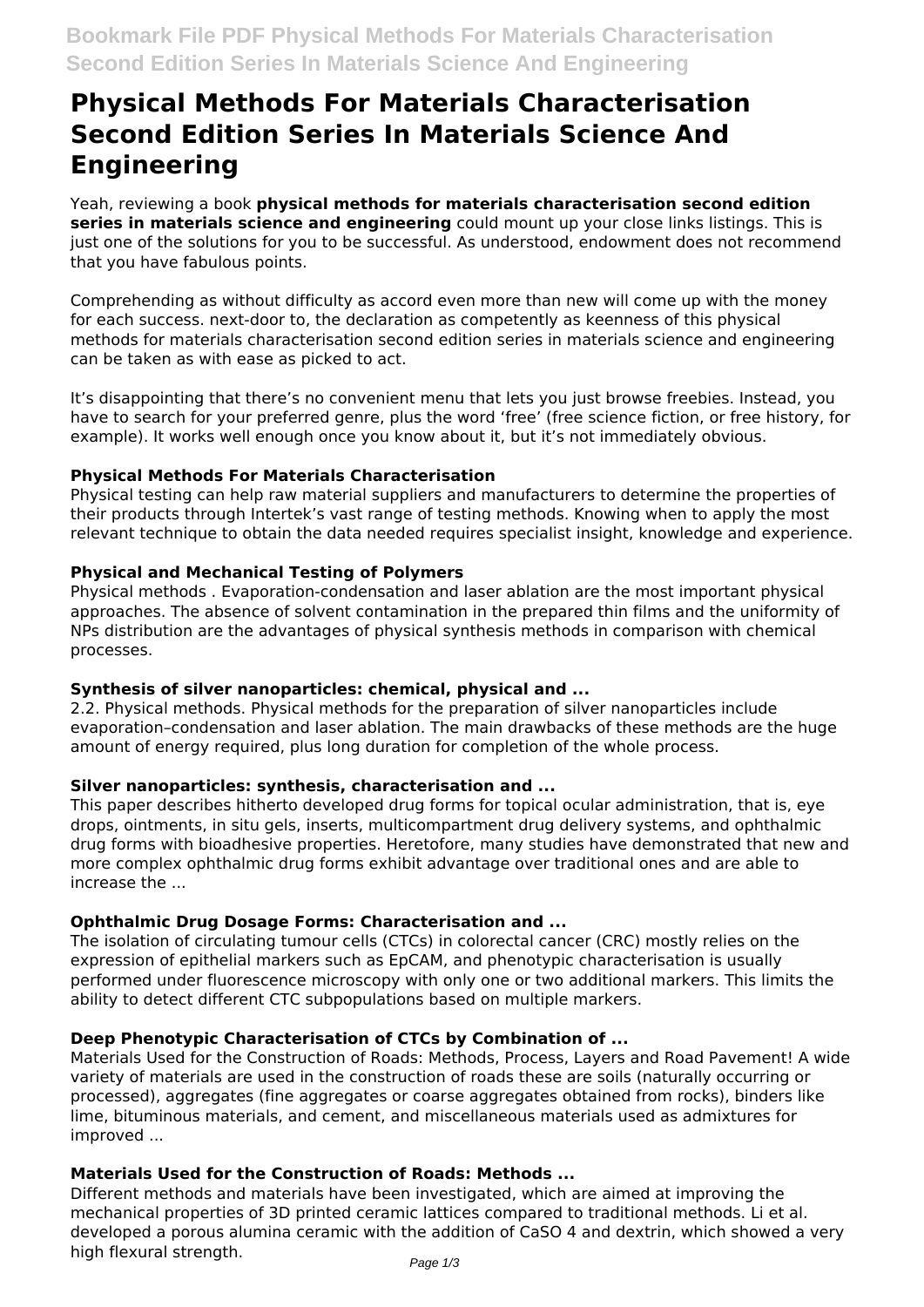# **Physical Methods For Materials Characterisation Second Edition Series In Materials Science And Engineering**

Yeah, reviewing a book **physical methods for materials characterisation second edition series in materials science and engineering** could mount up your close links listings. This is just one of the solutions for you to be successful. As understood, endowment does not recommend that you have fabulous points.

Comprehending as without difficulty as accord even more than new will come up with the money for each success. next-door to, the declaration as competently as keenness of this physical methods for materials characterisation second edition series in materials science and engineering can be taken as with ease as picked to act.

It's disappointing that there's no convenient menu that lets you just browse freebies. Instead, you have to search for your preferred genre, plus the word 'free' (free science fiction, or free history, for example). It works well enough once you know about it, but it's not immediately obvious.

# **Physical Methods For Materials Characterisation**

Physical testing can help raw material suppliers and manufacturers to determine the properties of their products through Intertek's vast range of testing methods. Knowing when to apply the most relevant technique to obtain the data needed requires specialist insight, knowledge and experience.

# **Physical and Mechanical Testing of Polymers**

Physical methods . Evaporation-condensation and laser ablation are the most important physical approaches. The absence of solvent contamination in the prepared thin films and the uniformity of NPs distribution are the advantages of physical synthesis methods in comparison with chemical processes.

# **Synthesis of silver nanoparticles: chemical, physical and ...**

2.2. Physical methods. Physical methods for the preparation of silver nanoparticles include evaporation–condensation and laser ablation. The main drawbacks of these methods are the huge amount of energy required, plus long duration for completion of the whole process.

# **Silver nanoparticles: synthesis, characterisation and ...**

This paper describes hitherto developed drug forms for topical ocular administration, that is, eye drops, ointments, in situ gels, inserts, multicompartment drug delivery systems, and ophthalmic drug forms with bioadhesive properties. Heretofore, many studies have demonstrated that new and more complex ophthalmic drug forms exhibit advantage over traditional ones and are able to increase the ...

# **Ophthalmic Drug Dosage Forms: Characterisation and ...**

The isolation of circulating tumour cells (CTCs) in colorectal cancer (CRC) mostly relies on the expression of epithelial markers such as EpCAM, and phenotypic characterisation is usually performed under fluorescence microscopy with only one or two additional markers. This limits the ability to detect different CTC subpopulations based on multiple markers.

# **Deep Phenotypic Characterisation of CTCs by Combination of ...**

Materials Used for the Construction of Roads: Methods, Process, Layers and Road Pavement! A wide variety of materials are used in the construction of roads these are soils (naturally occurring or processed), aggregates (fine aggregates or coarse aggregates obtained from rocks), binders like lime, bituminous materials, and cement, and miscellaneous materials used as admixtures for improved ...

# **Materials Used for the Construction of Roads: Methods ...**

Different methods and materials have been investigated, which are aimed at improving the mechanical properties of 3D printed ceramic lattices compared to traditional methods. Li et al. developed a porous alumina ceramic with the addition of CaSO 4 and dextrin, which showed a very high flexural strength.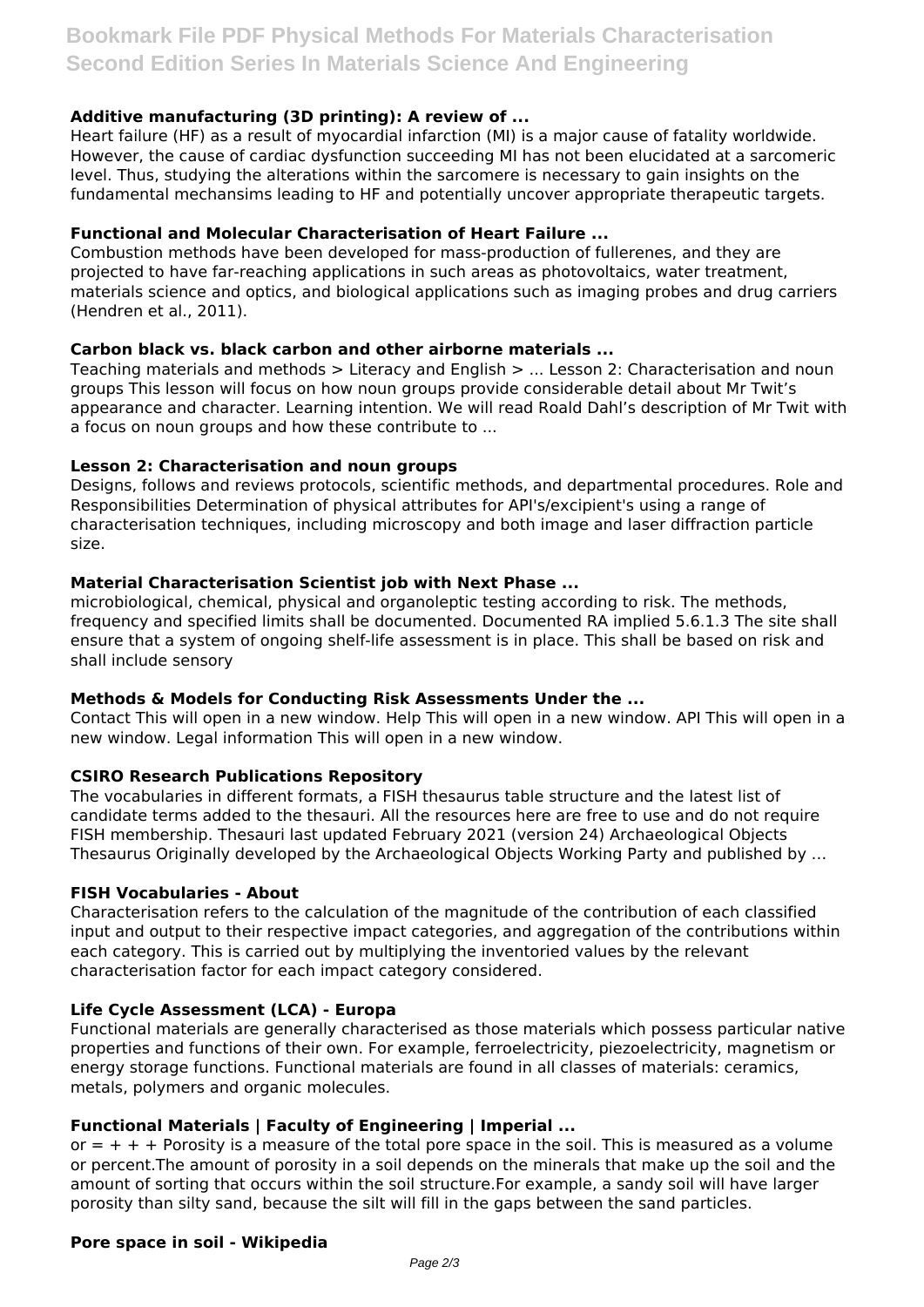# **Additive manufacturing (3D printing): A review of ...**

Heart failure (HF) as a result of myocardial infarction (MI) is a major cause of fatality worldwide. However, the cause of cardiac dysfunction succeeding MI has not been elucidated at a sarcomeric level. Thus, studying the alterations within the sarcomere is necessary to gain insights on the fundamental mechansims leading to HF and potentially uncover appropriate therapeutic targets.

# **Functional and Molecular Characterisation of Heart Failure ...**

Combustion methods have been developed for mass-production of fullerenes, and they are projected to have far-reaching applications in such areas as photovoltaics, water treatment, materials science and optics, and biological applications such as imaging probes and drug carriers (Hendren et al., 2011).

#### **Carbon black vs. black carbon and other airborne materials ...**

Teaching materials and methods  $>$  Literacy and English  $>$  ... Lesson 2: Characterisation and noun groups This lesson will focus on how noun groups provide considerable detail about Mr Twit's appearance and character. Learning intention. We will read Roald Dahl's description of Mr Twit with a focus on noun groups and how these contribute to ...

#### **Lesson 2: Characterisation and noun groups**

Designs, follows and reviews protocols, scientific methods, and departmental procedures. Role and Responsibilities Determination of physical attributes for API's/excipient's using a range of characterisation techniques, including microscopy and both image and laser diffraction particle size.

#### **Material Characterisation Scientist job with Next Phase ...**

microbiological, chemical, physical and organoleptic testing according to risk. The methods, frequency and specified limits shall be documented. Documented RA implied 5.6.1.3 The site shall ensure that a system of ongoing shelf-life assessment is in place. This shall be based on risk and shall include sensory

# **Methods & Models for Conducting Risk Assessments Under the ...**

Contact This will open in a new window. Help This will open in a new window. API This will open in a new window. Legal information This will open in a new window.

# **CSIRO Research Publications Repository**

The vocabularies in different formats, a FISH thesaurus table structure and the latest list of candidate terms added to the thesauri. All the resources here are free to use and do not require FISH membership. Thesauri last updated February 2021 (version 24) Archaeological Objects Thesaurus Originally developed by the Archaeological Objects Working Party and published by …

#### **FISH Vocabularies - About**

Characterisation refers to the calculation of the magnitude of the contribution of each classified input and output to their respective impact categories, and aggregation of the contributions within each category. This is carried out by multiplying the inventoried values by the relevant characterisation factor for each impact category considered.

# **Life Cycle Assessment (LCA) - Europa**

Functional materials are generally characterised as those materials which possess particular native properties and functions of their own. For example, ferroelectricity, piezoelectricity, magnetism or energy storage functions. Functional materials are found in all classes of materials: ceramics, metals, polymers and organic molecules.

# **Functional Materials | Faculty of Engineering | Imperial ...**

or  $= + + +$  Porosity is a measure of the total pore space in the soil. This is measured as a volume or percent.The amount of porosity in a soil depends on the minerals that make up the soil and the amount of sorting that occurs within the soil structure.For example, a sandy soil will have larger porosity than silty sand, because the silt will fill in the gaps between the sand particles.

#### **Pore space in soil - Wikipedia**